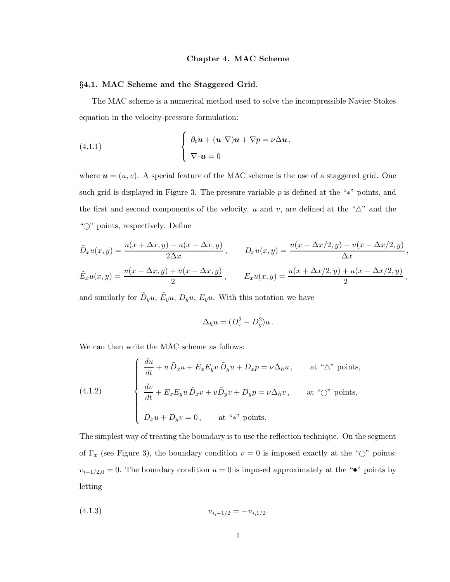#### Chapter 4. MAC Scheme

## §4.1. MAC Scheme and the Staggered Grid.

The MAC scheme is a numerical method used to solve the incompressible Navier-Stokes equation in the velocity-pressure formulation:

(4.1.1) 
$$
\begin{cases} \partial_t \boldsymbol{u} + (\boldsymbol{u} \cdot \nabla) \boldsymbol{u} + \nabla p = \nu \Delta \boldsymbol{u}, \\ \nabla \cdot \boldsymbol{u} = 0 \end{cases}
$$

where  $u = (u, v)$ . A special feature of the MAC scheme is the use of a staggered grid. One such grid is displayed in Figure 3. The pressure variable  $p$  is defined at the "\*" points, and the first and second components of the velocity, u and v, are defined at the " $\Delta$ " and the "<sup>o"</sup> points, respectively. Define

$$
\tilde{D}_x u(x, y) = \frac{u(x + \Delta x, y) - u(x - \Delta x, y)}{2\Delta x}, \qquad D_x u(x, y) = \frac{u(x + \Delta x/2, y) - u(x - \Delta x/2, y)}{\Delta x}, \n\tilde{E}_x u(x, y) = \frac{u(x + \Delta x, y) + u(x - \Delta x, y)}{2}, \qquad E_x u(x, y) = \frac{u(x + \Delta x/2, y) + u(x - \Delta x/2, y)}{2},
$$

and similarly for  $\tilde{D}_y u$ ,  $\tilde{E}_y u$ ,  $D_y u$ ,  $E_y u$ . With this notation we have

$$
\Delta_h u = (D_x^2 + D_y^2)u.
$$

We can then write the MAC scheme as follows:

(4.1.2) 
$$
\begin{cases} \frac{du}{dt} + u \, \tilde{D}_x u + E_x E_y v \, \tilde{D}_y u + D_x p = \nu \Delta_h u, & \text{at ``\Delta" points,} \\ \frac{dv}{dt} + E_x E_y u \, \tilde{D}_x v + v \tilde{D}_y v + D_y p = \nu \Delta_h v, & \text{at ``\odot" points,} \\ D_x u + D_y v = 0, & \text{at ``*" points.} \end{cases}
$$

The simplest way of treating the boundary is to use the reflection technique. On the segment of  $\Gamma_x$  (see Figure 3), the boundary condition  $v = 0$  is imposed exactly at the " $\bigcirc$ " points:  $v_{i-1/2,0} = 0$ . The boundary condition  $u = 0$  is imposed approximately at the " $\bullet$ " points by letting

(4.1.3) ui,−1/<sup>2</sup> = −ui,1/<sup>2</sup> .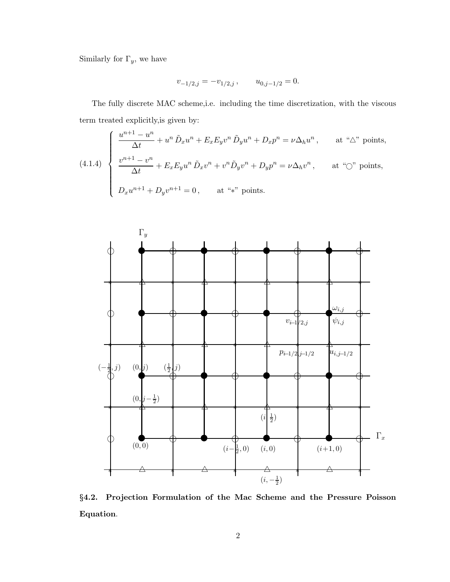Similarly for  $\Gamma_y,$  we have

$$
v_{-1/2,j} = -v_{1/2,j} \,, \qquad u_{0,j-1/2} = 0.
$$

The fully discrete MAC scheme,i.e. including the time discretization, with the viscous term treated explicitly,is given by:

$$
(4.1.4) \begin{cases} \frac{u^{n+1} - u^n}{\Delta t} + u^n \tilde{D}_x u^n + E_x E_y v^n \tilde{D}_y u^n + D_x p^n = \nu \Delta_h u^n, & \text{at ``\Delta" points,} \\ \frac{v^{n+1} - v^n}{\Delta t} + E_x E_y u^n \tilde{D}_x v^n + v^n \tilde{D}_y v^n + D_y p^n = \nu \Delta_h v^n, & \text{at ``\heartsuit" points,} \\ D_x u^{n+1} + D_y v^{n+1} = 0, & \text{at ``\ast" points.} \end{cases}
$$



§4.2. Projection Formulation of the Mac Scheme and the Pressure Poisson Equation.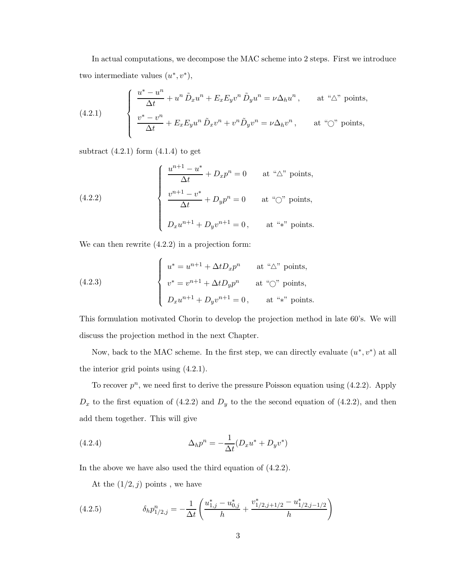In actual computations, we decompose the MAC scheme into 2 steps. First we introduce two intermediate values  $(u^*, v^*),$ 

(4.2.1) 
$$
\begin{cases} \frac{u^* - u^n}{\Delta t} + u^n \tilde{D}_x u^n + E_x E_y v^n \tilde{D}_y u^n = \nu \Delta_h u^n, & \text{at ``\Delta" points,} \\ \frac{v^* - v^n}{\Delta t} + E_x E_y u^n \tilde{D}_x v^n + v^n \tilde{D}_y v^n = \nu \Delta_h v^n, & \text{at ``\bigcirc" points,} \end{cases}
$$

subtract  $(4.2.1)$  form  $(4.1.4)$  to get

(4.2.2) 
$$
\begin{cases} \frac{u^{n+1} - u^*}{\Delta t} + D_x p^n = 0 & \text{at "$\Delta$" points,} \\ \frac{v^{n+1} - v^*}{\Delta t} + D_y p^n = 0 & \text{at "$\mathbb{O}$" points,} \\ D_x u^{n+1} + D_y v^{n+1} = 0, & \text{at "*" points.} \end{cases}
$$

We can then rewrite  $(4.2.2)$  in a projection form:

(4.2.3) 
$$
\begin{cases} u^* = u^{n+1} + \Delta t D_x p^n & \text{at ``\triangle'' points,} \\ v^* = v^{n+1} + \Delta t D_y p^n & \text{at ``\bigcirc'' points,} \\ D_x u^{n+1} + D_y v^{n+1} = 0, & \text{at ``*'' points.} \end{cases}
$$

This formulation motivated Chorin to develop the projection method in late 60's. We will discuss the projection method in the next Chapter.

Now, back to the MAC scheme. In the first step, we can directly evaluate  $(u^*, v^*)$  at all the interior grid points using (4.2.1).

To recover  $p^n$ , we need first to derive the pressure Poisson equation using  $(4.2.2)$ . Apply  $D_x$  to the first equation of (4.2.2) and  $D_y$  to the the second equation of (4.2.2), and then add them together. This will give

(4.2.4) 
$$
\Delta_h p^n = -\frac{1}{\Delta t} (D_x u^* + D_y v^*)
$$

In the above we have also used the third equation of (4.2.2).

At the  $(1/2, j)$  points, we have

(4.2.5) 
$$
\delta_h p_{1/2,j}^n = -\frac{1}{\Delta t} \left( \frac{u_{1,j}^* - u_{0,j}^*}{h} + \frac{v_{1/2,j+1/2}^* - u_{1/2,j-1/2}^*}{h} \right)
$$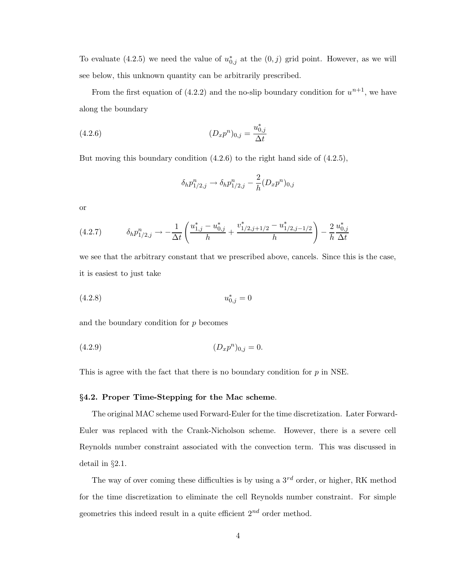To evaluate (4.2.5) we need the value of  $u_{0,j}^*$  at the  $(0, j)$  grid point. However, as we will see below, this unknown quantity can be arbitrarily prescribed.

From the first equation of (4.2.2) and the no-slip boundary condition for  $u^{n+1}$ , we have along the boundary

(4.2.6) 
$$
(D_x p^n)_{0,j} = \frac{u_{0,j}^*}{\Delta t}
$$

But moving this boundary condition (4.2.6) to the right hand side of (4.2.5),

$$
\delta_h p_{1/2,j}^n \to \delta_h p_{1/2,j}^n - \frac{2}{h} (D_x p^n)_{0,j}
$$

or

(4.2.7) δhp n 1/2,j → − 1 ∆t u ∗ <sup>1</sup>,j − u ∗ 0,j h + v ∗ <sup>1</sup>/2,j+1/<sup>2</sup> − u ∗ 1/2,j−1/2 h ! − 2 h u ∗ 0,j ∆t

we see that the arbitrary constant that we prescribed above, cancels. Since this is the case, it is easiest to just take

$$
(4.2.8) \t\t u_{0,j}^* = 0
$$

and the boundary condition for  $p$  becomes

$$
(4.2.9) \t\t\t (D_x p^n)_{0,j} = 0.
$$

This is agree with the fact that there is no boundary condition for  $p$  in NSE.

#### §4.2. Proper Time-Stepping for the Mac scheme.

The original MAC scheme used Forward-Euler for the time discretization. Later Forward-Euler was replaced with the Crank-Nicholson scheme. However, there is a severe cell Reynolds number constraint associated with the convection term. This was discussed in detail in §2.1.

The way of over coming these difficulties is by using a  $3^{rd}$  order, or higher, RK method for the time discretization to eliminate the cell Reynolds number constraint. For simple geometries this indeed result in a quite efficient  $2^{nd}$  order method.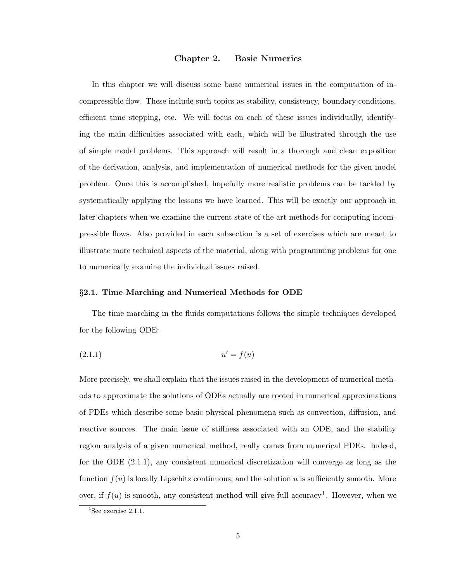# Chapter 2. Basic Numerics

In this chapter we will discuss some basic numerical issues in the computation of incompressible flow. These include such topics as stability, consistency, boundary conditions, efficient time stepping, etc. We will focus on each of these issues individually, identifying the main difficulties associated with each, which will be illustrated through the use of simple model problems. This approach will result in a thorough and clean exposition of the derivation, analysis, and implementation of numerical methods for the given model problem. Once this is accomplished, hopefully more realistic problems can be tackled by systematically applying the lessons we have learned. This will be exactly our approach in later chapters when we examine the current state of the art methods for computing incompressible flows. Also provided in each subsection is a set of exercises which are meant to illustrate more technical aspects of the material, along with programming problems for one to numerically examine the individual issues raised.

#### §2.1. Time Marching and Numerical Methods for ODE

The time marching in the fluids computations follows the simple techniques developed for the following ODE:

$$
(2.1.1) \t\t u' = f(u)
$$

More precisely, we shall explain that the issues raised in the development of numerical methods to approximate the solutions of ODEs actually are rooted in numerical approximations of PDEs which describe some basic physical phenomena such as convection, diffusion, and reactive sources. The main issue of stiffness associated with an ODE, and the stability region analysis of a given numerical method, really comes from numerical PDEs. Indeed, for the ODE (2.1.1), any consistent numerical discretization will converge as long as the function  $f(u)$  is locally Lipschitz continuous, and the solution u is sufficiently smooth. More over, if  $f(u)$  is smooth, any consistent method will give full accuracy<sup>1</sup>. However, when we

 ${}^{1}$ See exercise 2.1.1.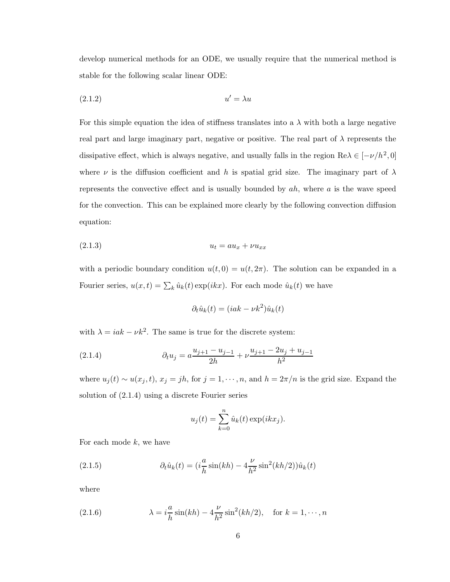develop numerical methods for an ODE, we usually require that the numerical method is stable for the following scalar linear ODE:

$$
(2.1.2) \t\t u' = \lambda u
$$

For this simple equation the idea of stiffness translates into a  $\lambda$  with both a large negative real part and large imaginary part, negative or positive. The real part of  $\lambda$  represents the dissipative effect, which is always negative, and usually falls in the region  $\text{Re}\lambda \in [-\nu/h^2, 0]$ where  $\nu$  is the diffusion coefficient and h is spatial grid size. The imaginary part of  $\lambda$ represents the convective effect and is usually bounded by  $ah$ , where  $a$  is the wave speed for the convection. This can be explained more clearly by the following convection diffusion equation:

$$
(2.1.3) \t\t\t u_t = au_x + v u_{xx}
$$

with a periodic boundary condition  $u(t, 0) = u(t, 2\pi)$ . The solution can be expanded in a Fourier series,  $u(x,t) = \sum_k \hat{u}_k(t) \exp(ikx)$ . For each mode  $\hat{u}_k(t)$  we have

$$
\partial_t \hat{u}_k(t) = (iak - \nu k^2) \hat{u}_k(t)
$$

with  $\lambda = iak - \nu k^2$ . The same is true for the discrete system:

(2.1.4) 
$$
\partial_t u_j = a \frac{u_{j+1} - u_{j-1}}{2h} + \nu \frac{u_{j+1} - 2u_j + u_{j-1}}{h^2}
$$

where  $u_j(t) \sim u(x_j, t)$ ,  $x_j = jh$ , for  $j = 1, \dots, n$ , and  $h = 2\pi/n$  is the grid size. Expand the solution of (2.1.4) using a discrete Fourier series

$$
u_j(t) = \sum_{k=0}^n \hat{u}_k(t) \exp(ikx_j).
$$

For each mode  $k$ , we have

(2.1.5) 
$$
\partial_t \hat{u}_k(t) = (i\frac{a}{h}\sin(kh) - 4\frac{\nu}{h^2}\sin^2(kh/2))\hat{u}_k(t)
$$

where

(2.1.6) 
$$
\lambda = i \frac{a}{h} \sin(kh) - 4 \frac{\nu}{h^2} \sin^2(kh/2), \text{ for } k = 1, \dots, n
$$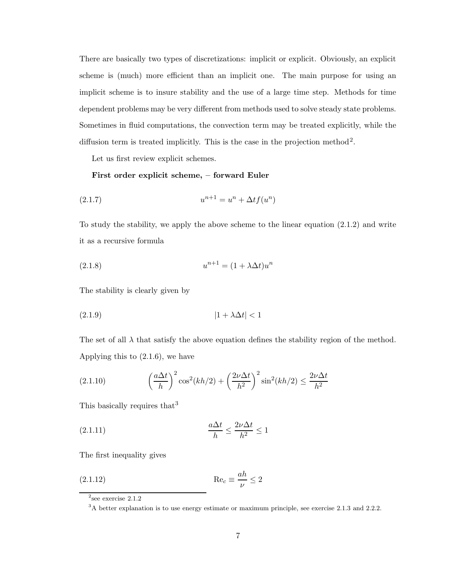There are basically two types of discretizations: implicit or explicit. Obviously, an explicit scheme is (much) more efficient than an implicit one. The main purpose for using an implicit scheme is to insure stability and the use of a large time step. Methods for time dependent problems may be very different from methods used to solve steady state problems. Sometimes in fluid computations, the convection term may be treated explicitly, while the diffusion term is treated implicitly. This is the case in the projection method<sup>2</sup>.

Let us first review explicit schemes.

# First order explicit scheme, – forward Euler

(2.1.7) 
$$
u^{n+1} = u^n + \Delta t f(u^n)
$$

To study the stability, we apply the above scheme to the linear equation (2.1.2) and write it as a recursive formula

$$
(2.1.8) \t\t un+1 = (1 + \lambda \Delta t)un
$$

The stability is clearly given by

$$
(2.1.9) \t\t\t |1 + \lambda \Delta t| < 1
$$

The set of all  $\lambda$  that satisfy the above equation defines the stability region of the method. Applying this to (2.1.6), we have

(2.1.10) 
$$
\left(\frac{a\Delta t}{h}\right)^2 \cos^2(kh/2) + \left(\frac{2\nu\Delta t}{h^2}\right)^2 \sin^2(kh/2) \le \frac{2\nu\Delta t}{h^2}
$$

This basically requires that<sup>3</sup>

$$
\frac{a\Delta t}{h} \le \frac{2\nu\Delta t}{h^2} \le 1
$$

The first inequality gives

(2.1.12) Re<sup>c</sup> ≡ ah ν ≤ 2

 $2$ see exercise 2.1.2

 $3A$  better explanation is to use energy estimate or maximum principle, see exercise 2.1.3 and 2.2.2.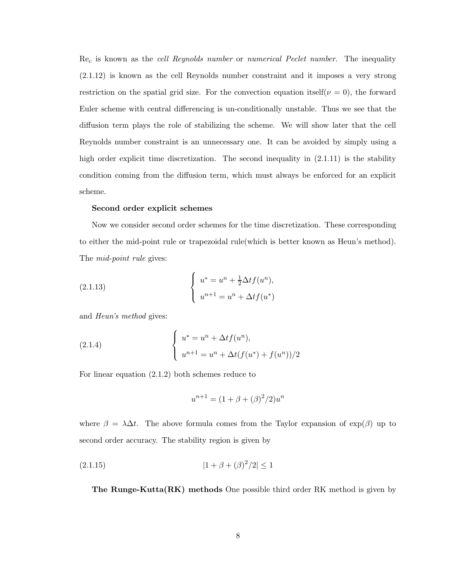$\text{Re}_c$  is known as the *cell Reynolds number* or *numerical Peclet number*. The inequality (2.1.12) is known as the cell Reynolds number constraint and it imposes a very strong restriction on the spatial grid size. For the convection equation itself( $\nu = 0$ ), the forward Euler scheme with central differencing is un-conditionally unstable. Thus we see that the diffusion term plays the role of stabilizing the scheme. We will show later that the cell Reynolds number constraint is an unnecessary one. It can be avoided by simply using a high order explicit time discretization. The second inequality in  $(2.1.11)$  is the stability condition coming from the diffusion term, which must always be enforced for an explicit scheme.

## Second order explicit schemes

Now we consider second order schemes for the time discretization. These corresponding to either the mid-point rule or trapezoidal rule(which is better known as Heun's method). The *mid-point rule* gives:

(2.1.13) 
$$
\begin{cases} u^* = u^n + \frac{1}{2} \Delta t f(u^n), \\ u^{n+1} = u^n + \Delta t f(u^*) \end{cases}
$$

and Heun's method gives:

(2.1.4) 
$$
\begin{cases} u^* = u^n + \Delta t f(u^n), \\ u^{n+1} = u^n + \Delta t (f(u^*) + f(u^n))/2 \end{cases}
$$

For linear equation (2.1.2) both schemes reduce to

$$
u^{n+1} = (1 + \beta + (\beta)^2 / 2)u^n
$$

where  $\beta = \lambda \Delta t$ . The above formula comes from the Taylor expansion of exp( $\beta$ ) up to second order accuracy. The stability region is given by

$$
(2.1.15) \t\t\t |1 + \beta + (\beta)^2/2| \le 1
$$

The Runge-Kutta(RK) methods One possible third order RK method is given by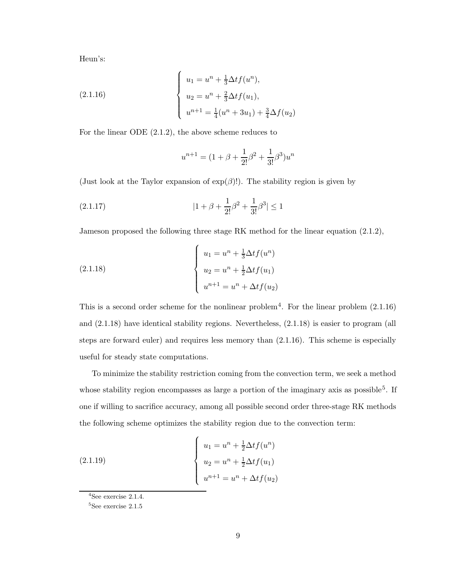Heun's:

(2.1.16)  

$$
\begin{cases}\nu_1 = u^n + \frac{1}{3} \Delta t f(u^n), \\
u_2 = u^n + \frac{2}{3} \Delta t f(u_1), \\
u^{n+1} = \frac{1}{4} (u^n + 3u_1) + \frac{3}{4} \Delta f(u_2)\n\end{cases}
$$

 $\epsilon$ 

For the linear ODE (2.1.2), the above scheme reduces to

$$
u^{n+1} = (1 + \beta + \frac{1}{2!}\beta^2 + \frac{1}{3!}\beta^3)u^n
$$

(Just look at the Taylor expansion of  $exp(\beta)!$ ). The stability region is given by

$$
(2.1.17) \t\t\t |1 + \beta + \frac{1}{2!}\beta^2 + \frac{1}{3!}\beta^3| \le 1
$$

Jameson proposed the following three stage RK method for the linear equation (2.1.2),

(2.1.18) 
$$
\begin{cases} u_1 = u^n + \frac{1}{3} \Delta t f(u^n) \\ u_2 = u^n + \frac{1}{2} \Delta t f(u_1) \\ u^{n+1} = u^n + \Delta t f(u_2) \end{cases}
$$

This is a second order scheme for the nonlinear problem<sup>4</sup>. For the linear problem  $(2.1.16)$ and (2.1.18) have identical stability regions. Nevertheless, (2.1.18) is easier to program (all steps are forward euler) and requires less memory than (2.1.16). This scheme is especially useful for steady state computations.

To minimize the stability restriction coming from the convection term, we seek a method whose stability region encompasses as large a portion of the imaginary axis as possible<sup>5</sup>. If one if willing to sacrifice accuracy, among all possible second order three-stage RK methods the following scheme optimizes the stability region due to the convection term:

(2.1.19) 
$$
\begin{cases} u_1 = u^n + \frac{1}{2} \Delta t f(u^n) \\ u_2 = u^n + \frac{1}{2} \Delta t f(u_1) \\ u^{n+1} = u^n + \Delta t f(u_2) \end{cases}
$$

 $4$ See exercise 2.1.4.

<sup>5</sup>See exercise 2.1.5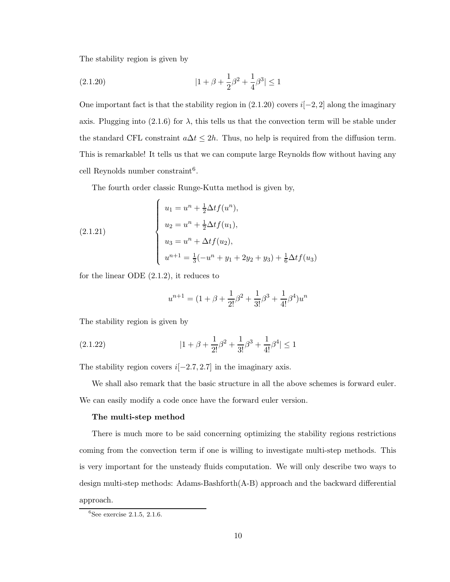The stability region is given by

$$
(2.1.20) \t\t\t |1 + \beta + \frac{1}{2}\beta^2 + \frac{1}{4}\beta^3| \le 1
$$

One important fact is that the stability region in  $(2.1.20)$  covers  $i[-2, 2]$  along the imaginary axis. Plugging into (2.1.6) for  $\lambda$ , this tells us that the convection term will be stable under the standard CFL constraint  $a\Delta t \leq 2h$ . Thus, no help is required from the diffusion term. This is remarkable! It tells us that we can compute large Reynolds flow without having any cell Reynolds number constraint 6 .

The fourth order classic Runge-Kutta method is given by,

(2.1.21) 
$$
\begin{cases} u_1 = u^n + \frac{1}{2} \Delta t f(u^n), \\ u_2 = u^n + \frac{1}{2} \Delta t f(u_1), \\ u_3 = u^n + \Delta t f(u_2), \\ u^{n+1} = \frac{1}{3}(-u^n + y_1 + 2y_2 + y_3) + \frac{1}{6} \Delta t f(u_3) \end{cases}
$$

for the linear ODE (2.1.2), it reduces to

$$
u^{n+1} = (1 + \beta + \frac{1}{2!}\beta^2 + \frac{1}{3!}\beta^3 + \frac{1}{4!}\beta^4)u^n
$$

The stability region is given by

(2.1.22) 
$$
|1 + \beta + \frac{1}{2!}\beta^2 + \frac{1}{3!}\beta^3 + \frac{1}{4!}\beta^4| \le 1
$$

The stability region covers  $i[-2.7, 2.7]$  in the imaginary axis.

We shall also remark that the basic structure in all the above schemes is forward euler. We can easily modify a code once have the forward euler version.

## The multi-step method

There is much more to be said concerning optimizing the stability regions restrictions coming from the convection term if one is willing to investigate multi-step methods. This is very important for the unsteady fluids computation. We will only describe two ways to design multi-step methods: Adams-Bashforth(A-B) approach and the backward differential approach.

 ${}^{6}$ See exercise 2.1.5, 2.1.6.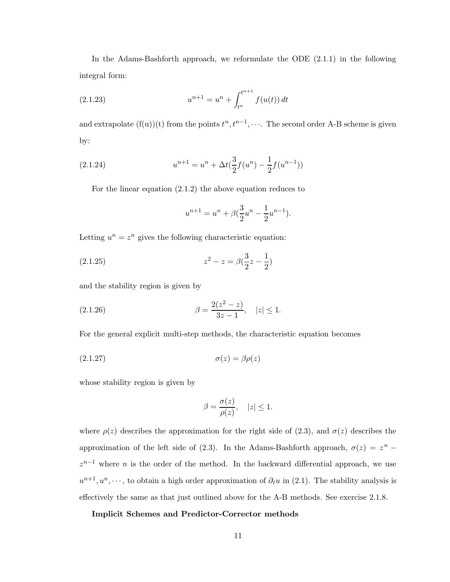In the Adams-Bashforth approach, we reformulate the ODE (2.1.1) in the following integral form:

(2.1.23) 
$$
u^{n+1} = u^n + \int_{t^n}^{t^{n+1}} f(u(t)) dt
$$

and extrapolate  $(f(u))(t)$  from the points  $t^n, t^{n-1}, \cdots$ . The second order A-B scheme is given by:

(2.1.24) 
$$
u^{n+1} = u^n + \Delta t \left(\frac{3}{2} f(u^n) - \frac{1}{2} f(u^{n-1})\right)
$$

For the linear equation (2.1.2) the above equation reduces to

$$
u^{n+1} = u^n + \beta \left(\frac{3}{2}u^n - \frac{1}{2}u^{n-1}\right).
$$

Letting  $u^n = z^n$  gives the following characteristic equation:

(2.1.25) 
$$
z^2 - z = \beta(\frac{3}{2}z - \frac{1}{2})
$$

and the stability region is given by

(2.1.26) 
$$
\beta = \frac{2(z^2 - z)}{3z - 1}, \quad |z| \le 1.
$$

For the general explicit multi-step methods, the characteristic equation becomes

$$
\sigma(z) = \beta \rho(z)
$$

whose stability region is given by

$$
\beta = \frac{\sigma(z)}{\rho(z)}, \quad |z| \le 1.
$$

where  $\rho(z)$  describes the approximation for the right side of (2.3), and  $\sigma(z)$  describes the approximation of the left side of (2.3). In the Adams-Bashforth approach,  $\sigma(z) = z^n$  $z^{n-1}$  where n is the order of the method. In the backward differential approach, we use  $u^{n+1}, u^n, \dots$ , to obtain a high order approximation of  $\partial_t u$  in (2.1). The stability analysis is effectively the same as that just outlined above for the A-B methods. See exercise 2.1.8.

## Implicit Schemes and Predictor-Corrector methods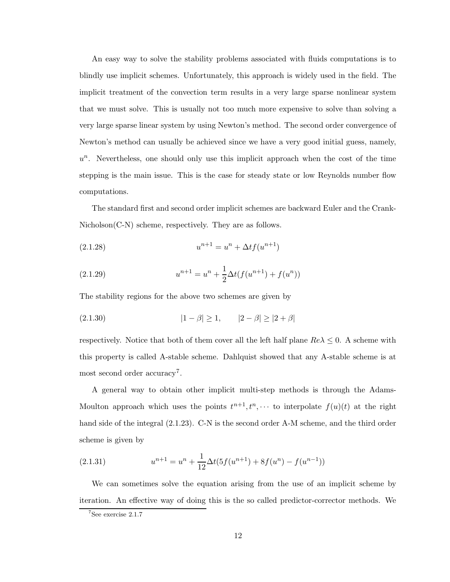An easy way to solve the stability problems associated with fluids computations is to blindly use implicit schemes. Unfortunately, this approach is widely used in the field. The implicit treatment of the convection term results in a very large sparse nonlinear system that we must solve. This is usually not too much more expensive to solve than solving a very large sparse linear system by using Newton's method. The second order convergence of Newton's method can usually be achieved since we have a very good initial guess, namely,  $u<sup>n</sup>$ . Nevertheless, one should only use this implicit approach when the cost of the time stepping is the main issue. This is the case for steady state or low Reynolds number flow computations.

The standard first and second order implicit schemes are backward Euler and the Crank-Nicholson(C-N) scheme, respectively. They are as follows.

(2.1.28) 
$$
u^{n+1} = u^n + \Delta t f(u^{n+1})
$$

(2.1.29) 
$$
u^{n+1} = u^n + \frac{1}{2}\Delta t(f(u^{n+1}) + f(u^n))
$$

The stability regions for the above two schemes are given by

(2.1.30) 
$$
|1 - \beta| \ge 1, \qquad |2 - \beta| \ge |2 + \beta|
$$

respectively. Notice that both of them cover all the left half plane  $Re\lambda \leq 0$ . A scheme with this property is called A-stable scheme. Dahlquist showed that any A-stable scheme is at most second order accuracy<sup>7</sup>.

A general way to obtain other implicit multi-step methods is through the Adams-Moulton approach which uses the points  $t^{n+1}, t^n, \dots$  to interpolate  $f(u)(t)$  at the right hand side of the integral (2.1.23). C-N is the second order A-M scheme, and the third order scheme is given by

(2.1.31) 
$$
u^{n+1} = u^n + \frac{1}{12} \Delta t (5f(u^{n+1}) + 8f(u^n) - f(u^{n-1}))
$$

We can sometimes solve the equation arising from the use of an implicit scheme by iteration. An effective way of doing this is the so called predictor-corrector methods. We

<sup>7</sup>See exercise 2.1.7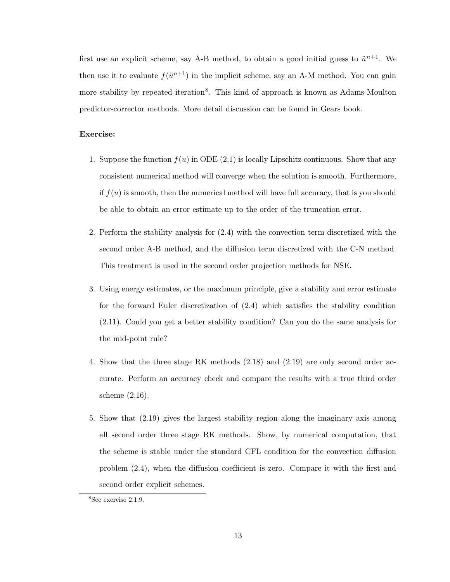first use an explicit scheme, say A-B method, to obtain a good initial guess to  $\tilde{u}^{n+1}$ . We then use it to evaluate  $f(\tilde{u}^{n+1})$  in the implicit scheme, say an A-M method. You can gain more stability by repeated iteration<sup>8</sup>. This kind of approach is known as Adams-Moulton predictor-corrector methods. More detail discussion can be found in Gears book.

# Exercise:

- 1. Suppose the function  $f(u)$  in ODE (2.1) is locally Lipschitz continuous. Show that any consistent numerical method will converge when the solution is smooth. Furthermore, if  $f(u)$  is smooth, then the numerical method will have full accuracy, that is you should be able to obtain an error estimate up to the order of the truncation error.
- 2. Perform the stability analysis for (2.4) with the convection term discretized with the second order A-B method, and the diffusion term discretized with the C-N method. This treatment is used in the second order projection methods for NSE.
- 3. Using energy estimates, or the maximum principle, give a stability and error estimate for the forward Euler discretization of (2.4) which satisfies the stability condition (2.11). Could you get a better stability condition? Can you do the same analysis for the mid-point rule?
- 4. Show that the three stage RK methods (2.18) and (2.19) are only second order accurate. Perform an accuracy check and compare the results with a true third order scheme (2.16).
- 5. Show that (2.19) gives the largest stability region along the imaginary axis among all second order three stage RK methods. Show, by numerical computation, that the scheme is stable under the standard CFL condition for the convection diffusion problem (2.4), when the diffusion coefficient is zero. Compare it with the first and second order explicit schemes.

<sup>8</sup>See exercise 2.1.9.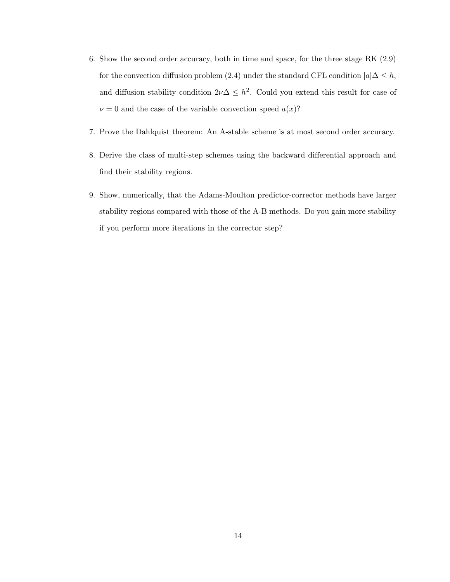- 6. Show the second order accuracy, both in time and space, for the three stage RK (2.9) for the convection diffusion problem (2.4) under the standard CFL condition  $|a|\Delta \leq h$ , and diffusion stability condition  $2\nu\Delta \leq h^2$ . Could you extend this result for case of  $\nu = 0$  and the case of the variable convection speed  $a(x)$ ?
- 7. Prove the Dahlquist theorem: An A-stable scheme is at most second order accuracy.
- 8. Derive the class of multi-step schemes using the backward differential approach and find their stability regions.
- 9. Show, numerically, that the Adams-Moulton predictor-corrector methods have larger stability regions compared with those of the A-B methods. Do you gain more stability if you perform more iterations in the corrector step?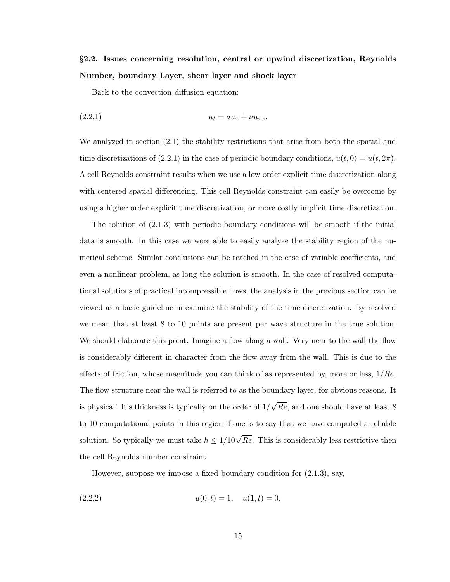# §2.2. Issues concerning resolution, central or upwind discretization, Reynolds Number, boundary Layer, shear layer and shock layer

Back to the convection diffusion equation:

$$
(2.2.1) \t\t u_t = au_x + v u_{xx}.
$$

We analyzed in section (2.1) the stability restrictions that arise from both the spatial and time discretizations of (2.2.1) in the case of periodic boundary conditions,  $u(t, 0) = u(t, 2\pi)$ . A cell Reynolds constraint results when we use a low order explicit time discretization along with centered spatial differencing. This cell Reynolds constraint can easily be overcome by using a higher order explicit time discretization, or more costly implicit time discretization.

The solution of (2.1.3) with periodic boundary conditions will be smooth if the initial data is smooth. In this case we were able to easily analyze the stability region of the numerical scheme. Similar conclusions can be reached in the case of variable coefficients, and even a nonlinear problem, as long the solution is smooth. In the case of resolved computational solutions of practical incompressible flows, the analysis in the previous section can be viewed as a basic guideline in examine the stability of the time discretization. By resolved we mean that at least 8 to 10 points are present per wave structure in the true solution. We should elaborate this point. Imagine a flow along a wall. Very near to the wall the flow is considerably different in character from the flow away from the wall. This is due to the effects of friction, whose magnitude you can think of as represented by, more or less,  $1/Re$ . The flow structure near the wall is referred to as the boundary layer, for obvious reasons. It is physical! It's thickness is typically on the order of  $1/\sqrt{Re}$ , and one should have at least 8 to 10 computational points in this region if one is to say that we have computed a reliable solution. So typically we must take  $h \leq 1/10\sqrt{Re}$ . This is considerably less restrictive then the cell Reynolds number constraint.

However, suppose we impose a fixed boundary condition for (2.1.3), say,

$$
(2.2.2) \t\t u(0,t) = 1, \t u(1,t) = 0.
$$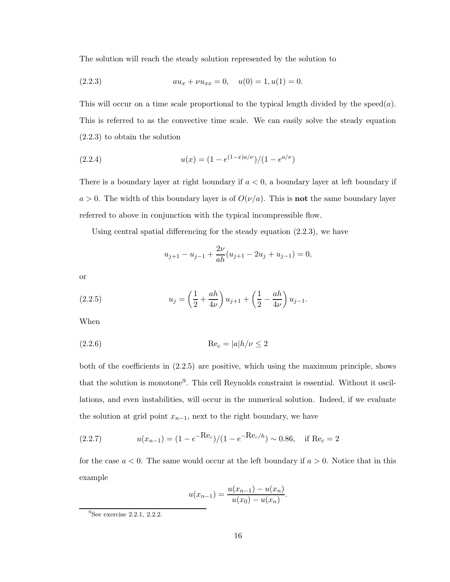The solution will reach the steady solution represented by the solution to

(2.2.3) 
$$
au_x + \nu u_{xx} = 0, \quad u(0) = 1, u(1) = 0.
$$

This will occur on a time scale proportional to the typical length divided by the speed $(a)$ . This is referred to as the convective time scale. We can easily solve the steady equation (2.2.3) to obtain the solution

(2.2.4) 
$$
u(x) = (1 - e^{(1-x)a/\nu})/(1 - e^{a/\nu})
$$

There is a boundary layer at right boundary if  $a < 0$ , a boundary layer at left boundary if  $a > 0$ . The width of this boundary layer is of  $O(\nu/a)$ . This is **not** the same boundary layer referred to above in conjunction with the typical incompressible flow.

Using central spatial differencing for the steady equation (2.2.3), we have

$$
u_{j+1} - u_{j-1} + \frac{2\nu}{ah}(u_{j+1} - 2u_j + u_{j-1}) = 0,
$$

or

(2.2.5) 
$$
u_j = \left(\frac{1}{2} + \frac{ah}{4\nu}\right)u_{j+1} + \left(\frac{1}{2} - \frac{ah}{4\nu}\right)u_{j-1}.
$$

When

(2.2.6) Re<sup>c</sup> = |a|h/ν ≤ 2

both of the coefficients in (2.2.5) are positive, which using the maximum principle, shows that the solution is monotone<sup>9</sup> . This cell Reynolds constraint is essential. Without it oscillations, and even instabilities, will occur in the numerical solution. Indeed, if we evaluate the solution at grid point  $x_{n-1}$ , next to the right boundary, we have

(2.2.7) 
$$
u(x_{n-1}) = (1 - e^{-\text{Re}_c})/(1 - e^{-\text{Re}_c/h}) \sim 0.86, \text{ if } \text{Re}_c = 2
$$

for the case  $a < 0$ . The same would occur at the left boundary if  $a > 0$ . Notice that in this example

$$
u(x_{n-1}) = \frac{u(x_{n-1}) - u(x_n)}{u(x_0) - u(x_n)}.
$$

 $\overline{^{9}$ See exercise 2.2.1, 2.2.2.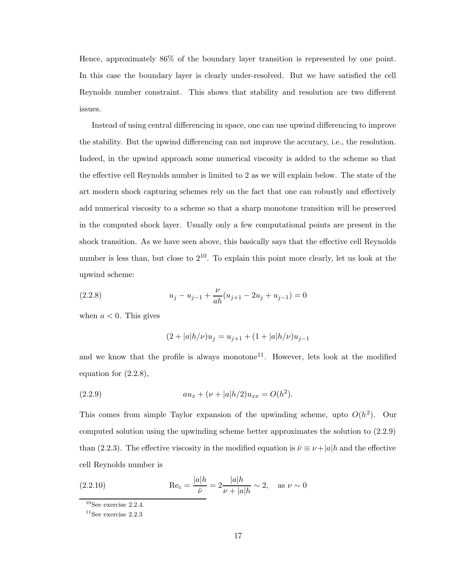Hence, approximately 86% of the boundary layer transition is represented by one point. In this case the boundary layer is clearly under-resolved. But we have satisfied the cell Reynolds number constraint. This shows that stability and resolution are two different issues.

Instead of using central differencing in space, one can use upwind differencing to improve the stability. But the upwind differencing can not improve the accuracy, i.e., the resolution. Indeed, in the upwind approach some numerical viscosity is added to the scheme so that the effective cell Reynolds number is limited to 2 as we will explain below. The state of the art modern shock capturing schemes rely on the fact that one can robustly and effectively add numerical viscosity to a scheme so that a sharp monotone transition will be preserved in the computed shock layer. Usually only a few computational points are present in the shock transition. As we have seen above, this basically says that the effective cell Reynolds number is less than, but close to  $2^{10}$ . To explain this point more clearly, let us look at the upwind scheme:

(2.2.8) 
$$
u_j - u_{j-1} + \frac{\nu}{ah}(u_{j+1} - 2u_j + u_{j-1}) = 0
$$

when  $a < 0$ . This gives

$$
(2+|a|h/\nu)u_j = u_{j+1} + (1+|a|h/\nu)u_{j-1}
$$

and we know that the profile is always monotone<sup>11</sup>. However, lets look at the modified equation for (2.2.8),

(2.2.9) 
$$
au_x + (\nu + |a|h/2)u_{xx} = O(h^2).
$$

This comes from simple Taylor expansion of the upwinding scheme, upto  $O(h^2)$ . Our computed solution using the upwinding scheme better approximates the solution to (2.2.9) than (2.2.3). The effective viscosity in the modified equation is  $\bar{\nu} \equiv \nu + |a|h$  and the effective cell Reynolds number is

(2.2.10) 
$$
\text{Re}_c = \frac{|a|h}{\bar{\nu}} = 2 \frac{|a|h}{\nu + |a|h} \sim 2, \text{ as } \nu \sim 0
$$

 $10$ See exercise 2.2.4.

 $11$ See exercise 2.2.3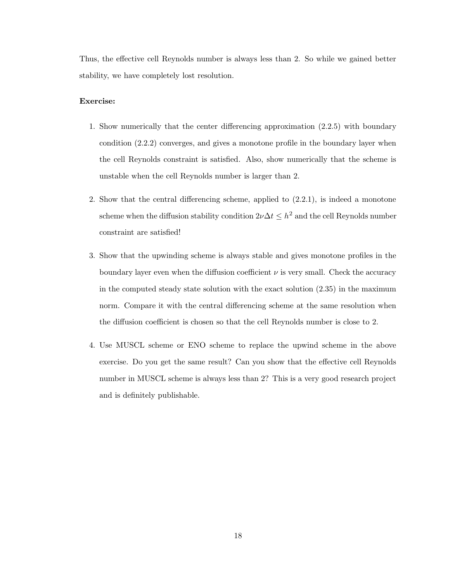Thus, the effective cell Reynolds number is always less than 2. So while we gained better stability, we have completely lost resolution.

# Exercise:

- 1. Show numerically that the center differencing approximation (2.2.5) with boundary condition (2.2.2) converges, and gives a monotone profile in the boundary layer when the cell Reynolds constraint is satisfied. Also, show numerically that the scheme is unstable when the cell Reynolds number is larger than 2.
- 2. Show that the central differencing scheme, applied to (2.2.1), is indeed a monotone scheme when the diffusion stability condition  $2\nu\Delta t \leq h^2$  and the cell Reynolds number constraint are satisfied!
- 3. Show that the upwinding scheme is always stable and gives monotone profiles in the boundary layer even when the diffusion coefficient  $\nu$  is very small. Check the accuracy in the computed steady state solution with the exact solution  $(2.35)$  in the maximum norm. Compare it with the central differencing scheme at the same resolution when the diffusion coefficient is chosen so that the cell Reynolds number is close to 2.
- 4. Use MUSCL scheme or ENO scheme to replace the upwind scheme in the above exercise. Do you get the same result? Can you show that the effective cell Reynolds number in MUSCL scheme is always less than 2? This is a very good research project and is definitely publishable.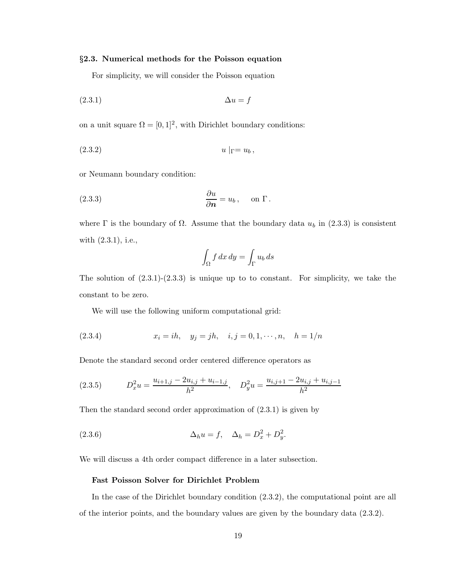## §2.3. Numerical methods for the Poisson equation

For simplicity, we will consider the Poisson equation

$$
\Delta u = f
$$

on a unit square  $\Omega = [0, 1]^2$ , with Dirichlet boundary conditions:

$$
(2.3.2) \t\t u|_{\Gamma} = u_b,
$$

or Neumann boundary condition:

(2.3.3) 
$$
\frac{\partial u}{\partial n} = u_b, \quad \text{on } \Gamma.
$$

where  $\Gamma$  is the boundary of  $\Omega$ . Assume that the boundary data  $u_b$  in (2.3.3) is consistent with (2.3.1), i.e.,

$$
\int_{\Omega} f \, dx \, dy = \int_{\Gamma} u_b \, ds
$$

The solution of  $(2.3.1)-(2.3.3)$  is unique up to to constant. For simplicity, we take the constant to be zero.

We will use the following uniform computational grid:

(2.3.4) 
$$
x_i = ih, y_j = jh, i, j = 0, 1, \dots, n, h = 1/n
$$

Denote the standard second order centered difference operators as

$$
(2.3.5) \t D_x^2 u = \frac{u_{i+1,j} - 2u_{i,j} + u_{i-1,j}}{h^2}, \t D_y^2 u = \frac{u_{i,j+1} - 2u_{i,j} + u_{i,j-1}}{h^2}
$$

Then the standard second order approximation of (2.3.1) is given by

(2.3.6) 
$$
\Delta_h u = f, \quad \Delta_h = D_x^2 + D_y^2.
$$

We will discuss a 4th order compact difference in a later subsection.

## Fast Poisson Solver for Dirichlet Problem

In the case of the Dirichlet boundary condition (2.3.2), the computational point are all of the interior points, and the boundary values are given by the boundary data (2.3.2).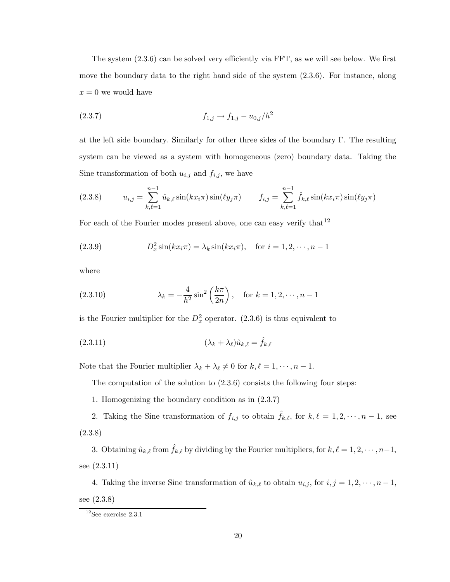The system (2.3.6) can be solved very efficiently via FFT, as we will see below. We first move the boundary data to the right hand side of the system (2.3.6). For instance, along  $x = 0$  we would have

$$
(2.3.7) \t\t f_{1,j} \to f_{1,j} - u_{0,j}/h^2
$$

at the left side boundary. Similarly for other three sides of the boundary Γ. The resulting system can be viewed as a system with homogeneous (zero) boundary data. Taking the Sine transformation of both  $u_{i,j}$  and  $f_{i,j}$ , we have

(2.3.8) 
$$
u_{i,j} = \sum_{k,\ell=1}^{n-1} \hat{u}_{k,\ell} \sin(kx_i \pi) \sin(\ell y_j \pi) \qquad f_{i,j} = \sum_{k,\ell=1}^{n-1} \hat{f}_{k,\ell} \sin(kx_i \pi) \sin(\ell y_j \pi)
$$

For each of the Fourier modes present above, one can easy verify that  $12$ 

(2.3.9) 
$$
D_x^2 \sin(kx_i \pi) = \lambda_k \sin(kx_i \pi), \text{ for } i = 1, 2, \dots, n-1
$$

where

(2.3.10) 
$$
\lambda_k = -\frac{4}{h^2} \sin^2 \left(\frac{k\pi}{2n}\right), \text{ for } k = 1, 2, \dots, n-1
$$

is the Fourier multiplier for the  $D_x^2$  operator. (2.3.6) is thus equivalent to

$$
(2.3.11) \qquad \qquad (\lambda_k + \lambda_\ell) \hat{u}_{k,\ell} = \hat{f}_{k,\ell}
$$

Note that the Fourier multiplier  $\lambda_k + \lambda_\ell \neq 0$  for  $k, \ell = 1, \dots, n - 1$ .

The computation of the solution to  $(2.3.6)$  consists the following four steps:

1. Homogenizing the boundary condition as in (2.3.7)

2. Taking the Sine transformation of  $f_{i,j}$  to obtain  $\hat{f}_{k,\ell}$ , for  $k, \ell = 1, 2, \dots, n - 1$ , see (2.3.8)

3. Obtaining  $\hat{u}_{k,\ell}$  from  $\hat{f}_{k,\ell}$  by dividing by the Fourier multipliers, for  $k, \ell = 1, 2, \cdots, n-1$ , see (2.3.11)

4. Taking the inverse Sine transformation of  $\hat{u}_{k,\ell}$  to obtain  $u_{i,j}$ , for  $i, j = 1, 2, \dots, n - 1$ , see (2.3.8)

 $12$ See exercise 2.3.1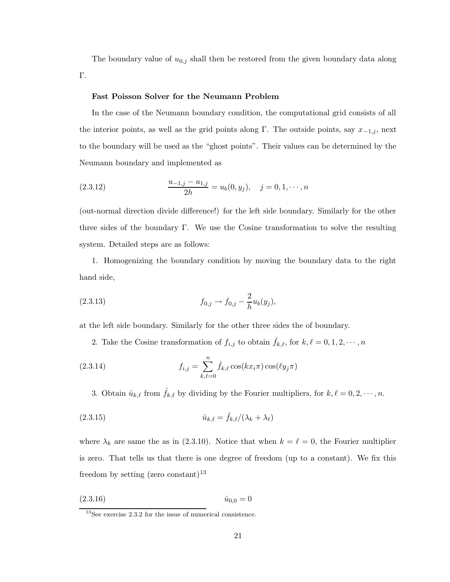The boundary value of  $u_{0,j}$  shall then be restored from the given boundary data along Γ.

# Fast Poisson Solver for the Neumann Problem

In the case of the Neumann boundary condition, the computational grid consists of all the interior points, as well as the grid points along Γ. The outside points, say  $x_{-1,j}$ , next to the boundary will be used as the "ghost points". Their values can be determined by the Neumann boundary and implemented as

(2.3.12) 
$$
\frac{u_{-1,j} - u_{1,j}}{2h} = u_b(0, y_j), \quad j = 0, 1, \cdots, n
$$

(out-normal direction divide difference!) for the left side boundary. Similarly for the other three sides of the boundary Γ. We use the Cosine transformation to solve the resulting system. Detailed steps are as follows:

1. Homogenizing the boundary condition by moving the boundary data to the right hand side,

(2.3.13) 
$$
f_{0,j} \to f_{0,j} - \frac{2}{h} u_b(y_j),
$$

at the left side boundary. Similarly for the other three sides the of boundary.

2. Take the Cosine transformation of  $f_{i,j}$  to obtain  $\hat{f}_{k,\ell}$ , for  $k, \ell = 0, 1, 2, \cdots, n$ 

(2.3.14) 
$$
f_{i,j} = \sum_{k,\ell=0}^{n} \hat{f}_{k,\ell} \cos(kx_i \pi) \cos(\ell y_j \pi)
$$

3. Obtain  $\hat{u}_{k,\ell}$  from  $\hat{f}_{k,\ell}$  by dividing by the Fourier multipliers, for  $k, \ell = 0, 2, \dots, n$ .

$$
(2.3.15) \qquad \qquad \hat{u}_{k,\ell} = \hat{f}_{k,\ell} / (\lambda_k + \lambda_\ell)
$$

where  $\lambda_k$  are same the as in (2.3.10). Notice that when  $k = \ell = 0$ , the Fourier multiplier is zero. That tells us that there is one degree of freedom (up to a constant). We fix this freedom by setting  $(\text{zero constant})^{13}$ 

$$
(2.3.16) \t\t\t\t\t\hat{u}_{0,0} = 0
$$

<sup>&</sup>lt;sup>13</sup>See exercise 2.3.2 for the issue of numerical consistence.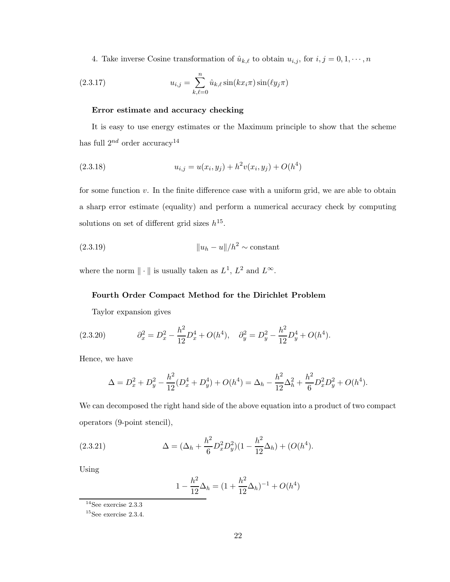4. Take inverse Cosine transformation of  $\hat{u}_{k,\ell}$  to obtain  $u_{i,j}$ , for  $i, j = 0, 1, \dots, n$ 

(2.3.17) 
$$
u_{i,j} = \sum_{k,\ell=0}^{n} \hat{u}_{k,\ell} \sin(kx_i \pi) \sin(\ell y_j \pi)
$$

## Error estimate and accuracy checking

It is easy to use energy estimates or the Maximum principle to show that the scheme has full  $2^{nd}$  order accuracy<sup>14</sup>

(2.3.18) 
$$
u_{i,j} = u(x_i, y_j) + h^2 v(x_i, y_j) + O(h^4)
$$

for some function  $v$ . In the finite difference case with a uniform grid, we are able to obtain a sharp error estimate (equality) and perform a numerical accuracy check by computing solutions on set of different grid sizes  $h^{15}$ .

(2.3.19) <sup>k</sup>u<sup>h</sup> <sup>−</sup> <sup>u</sup>k/h<sup>2</sup> <sup>∼</sup> constant

where the norm  $\|\cdot\|$  is usually taken as  $L^1$ ,  $L^2$  and  $L^{\infty}$ .

# Fourth Order Compact Method for the Dirichlet Problem

Taylor expansion gives

(2.3.20) 
$$
\partial_x^2 = D_x^2 - \frac{h^2}{12} D_x^4 + O(h^4), \quad \partial_y^2 = D_y^2 - \frac{h^2}{12} D_y^4 + O(h^4).
$$

Hence, we have

$$
\Delta = D_x^2 + D_y^2 - \frac{h^2}{12}(D_x^4 + D_y^4) + O(h^4) = \Delta_h - \frac{h^2}{12}\Delta_h^2 + \frac{h^2}{6}D_x^2D_y^2 + O(h^4).
$$

We can decomposed the right hand side of the above equation into a product of two compact operators (9-point stencil),

(2.3.21) 
$$
\Delta = (\Delta_h + \frac{h^2}{6} D_x^2 D_y^2)(1 - \frac{h^2}{12} \Delta_h) + (O(h^4)).
$$

Using

$$
1 - \frac{h^2}{12} \Delta_h = (1 + \frac{h^2}{12} \Delta_h)^{-1} + O(h^4)
$$

 $^{14}\rm{See}$  exercise  $2.3.3$ 

 $15$ See exercise 2.3.4.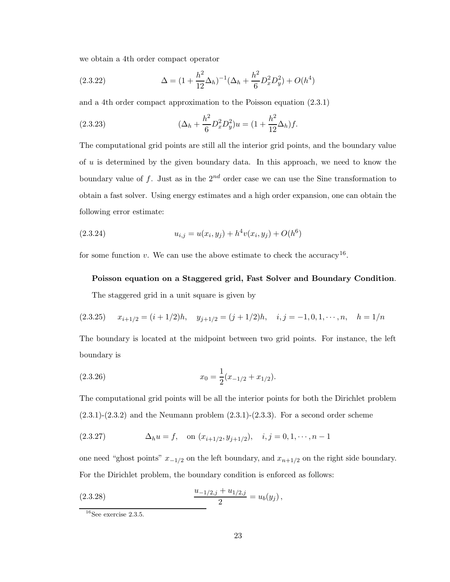we obtain a 4th order compact operator

(2.3.22) 
$$
\Delta = (1 + \frac{h^2}{12} \Delta_h)^{-1} (\Delta_h + \frac{h^2}{6} D_x^2 D_y^2) + O(h^4)
$$

and a 4th order compact approximation to the Poisson equation (2.3.1)

(2.3.23) 
$$
(\Delta_h + \frac{h^2}{6} D_x^2 D_y^2) u = (1 + \frac{h^2}{12} \Delta_h) f.
$$

The computational grid points are still all the interior grid points, and the boundary value of u is determined by the given boundary data. In this approach, we need to know the boundary value of f. Just as in the  $2^{nd}$  order case we can use the Sine transformation to obtain a fast solver. Using energy estimates and a high order expansion, one can obtain the following error estimate:

(2.3.24) 
$$
u_{i,j} = u(x_i, y_j) + h^4 v(x_i, y_j) + O(h^6)
$$

for some function v. We can use the above estimate to check the accuracy<sup>16</sup>.

# Poisson equation on a Staggered grid, Fast Solver and Boundary Condition.

The staggered grid in a unit square is given by

$$
(2.3.25) \qquad x_{i+1/2} = (i+1/2)h, \quad y_{j+1/2} = (j+1/2)h, \quad i, j = -1, 0, 1, \dots, n, \quad h = 1/n
$$

The boundary is located at the midpoint between two grid points. For instance, the left boundary is

(2.3.26) 
$$
x_0 = \frac{1}{2}(x_{-1/2} + x_{1/2}).
$$

The computational grid points will be all the interior points for both the Dirichlet problem  $(2.3.1)-(2.3.2)$  and the Neumann problem  $(2.3.1)-(2.3.3)$ . For a second order scheme

(2.3.27) 
$$
\Delta_h u = f, \quad \text{on } (x_{i+1/2}, y_{j+1/2}), \quad i, j = 0, 1, \dots, n-1
$$

one need "ghost points"  $x_{-1/2}$  on the left boundary, and  $x_{n+1/2}$  on the right side boundary. For the Dirichlet problem, the boundary condition is enforced as follows:

(2.3.28) 
$$
\frac{u_{-1/2,j} + u_{1/2,j}}{2} = u_b(y_j),
$$

 $16$ See exercise 2.3.5.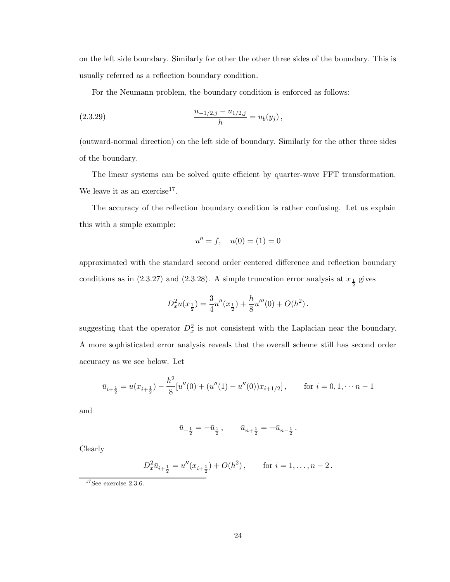on the left side boundary. Similarly for other the other three sides of the boundary. This is usually referred as a reflection boundary condition.

For the Neumann problem, the boundary condition is enforced as follows:

(2.3.29) 
$$
\frac{u_{-1/2,j} - u_{1/2,j}}{h} = u_b(y_j),
$$

(outward-normal direction) on the left side of boundary. Similarly for the other three sides of the boundary.

The linear systems can be solved quite efficient by quarter-wave FFT transformation. We leave it as an exercise<sup>17</sup>.

The accuracy of the reflection boundary condition is rather confusing. Let us explain this with a simple example:

$$
u'' = f, \quad u(0) = (1) = 0
$$

approximated with the standard second order centered difference and reflection boundary conditions as in (2.3.27) and (2.3.28). A simple truncation error analysis at  $x_{\frac{1}{2}}$  gives

$$
D_x^2 u(x_{\frac{1}{2}}) = \frac{3}{4}u''(x_{\frac{1}{2}}) + \frac{h}{8}u'''(0) + O(h^2).
$$

suggesting that the operator  $D_x^2$  is not consistent with the Laplacian near the boundary. A more sophisticated error analysis reveals that the overall scheme still has second order accuracy as we see below. Let

$$
\bar{u}_{i+\frac{1}{2}} = u(x_{i+\frac{1}{2}}) - \frac{h^2}{8} [u''(0) + (u''(1) - u''(0))x_{i+1/2}], \quad \text{for } i = 0, 1, \dots, n-1
$$

and

$$
\bar u_{-\frac{1}{2}}=-\bar u_{\frac{1}{2}}\,,\qquad \bar u_{n+\frac{1}{2}}=-\bar u_{n-\frac{1}{2}}\,.
$$

Clearly

$$
D_x^2 \bar{u}_{i+\frac{1}{2}} = u''(x_{i+\frac{1}{2}}) + O(h^2), \quad \text{for } i = 1, \dots, n-2.
$$

 $17$ See exercise 2.3.6.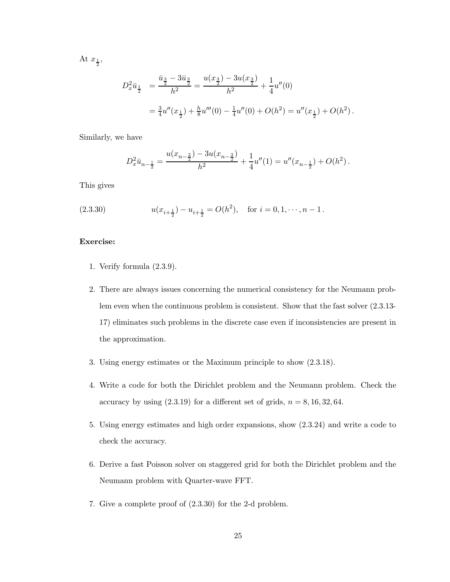At  $x_{\frac{1}{2}},$ 

$$
D_x^2 \bar{u}_{\frac{1}{2}} = \frac{\bar{u}_{\frac{3}{2}} - 3\bar{u}_{\frac{3}{2}}}{h^2} = \frac{u(x_{\frac{3}{2}}) - 3u(x_{\frac{3}{2}})}{h^2} + \frac{1}{4}u''(0)
$$
  
=  $\frac{3}{4}u''(x_{\frac{1}{2}}) + \frac{h}{8}u'''(0) - \frac{1}{4}u''(0) + O(h^2) = u''(x_{\frac{1}{2}}) + O(h^2).$ 

Similarly, we have

$$
D_x^2 \bar{u}_{n-\frac{1}{2}} = \frac{u(x_{n-\frac{3}{2}}) - 3u(x_{n-\frac{3}{2}})}{h^2} + \frac{1}{4}u''(1) = u''(x_{n-\frac{1}{2}}) + O(h^2) \,.
$$

This gives

(2.3.30) 
$$
u(x_{i+\frac{1}{2}}) - u_{i+\frac{1}{2}} = O(h^2), \text{ for } i = 0, 1, \dots, n-1.
$$

# Exercise:

- 1. Verify formula (2.3.9).
- 2. There are always issues concerning the numerical consistency for the Neumann problem even when the continuous problem is consistent. Show that the fast solver (2.3.13- 17) eliminates such problems in the discrete case even if inconsistencies are present in the approximation.
- 3. Using energy estimates or the Maximum principle to show (2.3.18).
- 4. Write a code for both the Dirichlet problem and the Neumann problem. Check the accuracy by using  $(2.3.19)$  for a different set of grids,  $n = 8, 16, 32, 64$ .
- 5. Using energy estimates and high order expansions, show (2.3.24) and write a code to check the accuracy.
- 6. Derive a fast Poisson solver on staggered grid for both the Dirichlet problem and the Neumann problem with Quarter-wave FFT.
- 7. Give a complete proof of (2.3.30) for the 2-d problem.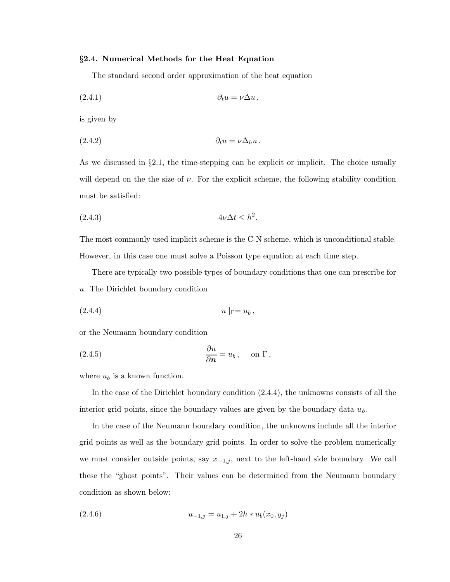## §2.4. Numerical Methods for the Heat Equation

The standard second order approximation of the heat equation

$$
(2.4.1) \t\t \t\t \partial_t u = \nu \Delta u,
$$

is given by

$$
(2.4.2) \t\t \t\t \partial_t u = \nu \Delta_h u \, .
$$

As we discussed in §2.1, the time-stepping can be explicit or implicit. The choice usually will depend on the the size of  $\nu$ . For the explicit scheme, the following stability condition must be satisfied:

$$
(2.4.3) \t\t 4\nu\Delta t \leq h^2.
$$

The most commonly used implicit scheme is the C-N scheme, which is unconditional stable. However, in this case one must solve a Poisson type equation at each time step.

There are typically two possible types of boundary conditions that one can prescribe for u. The Dirichlet boundary condition

$$
(2.4.4) \t\t u|_{\Gamma} = u_b,
$$

or the Neumann boundary condition

(2.4.5) 
$$
\frac{\partial u}{\partial n} = u_b, \quad \text{on } \Gamma,
$$

where  $u_b$  is a known function.

In the case of the Dirichlet boundary condition (2.4.4), the unknowns consists of all the interior grid points, since the boundary values are given by the boundary data  $u<sub>b</sub>$ .

In the case of the Neumann boundary condition, the unknowns include all the interior grid points as well as the boundary grid points. In order to solve the problem numerically we must consider outside points, say  $x_{-1,j}$ , next to the left-hand side boundary. We call these the "ghost points". Their values can be determined from the Neumann boundary condition as shown below:

$$
(2.4.6) \t\t u_{-1,j} = u_{1,j} + 2h * u_b(x_0, y_j)
$$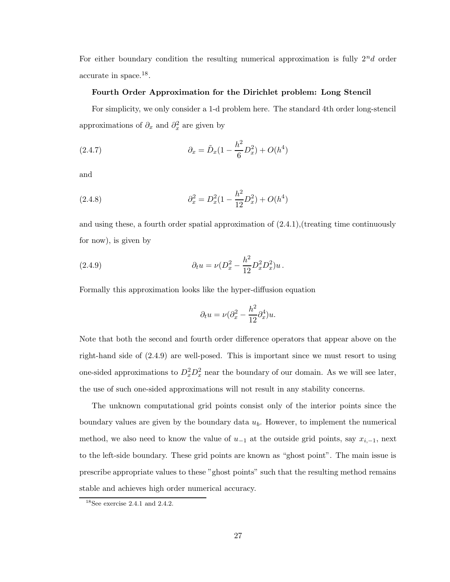For either boundary condition the resulting numerical approximation is fully  $2^n d$  order accurate in space.<sup>18</sup>.

## Fourth Order Approximation for the Dirichlet problem: Long Stencil

For simplicity, we only consider a 1-d problem here. The standard 4th order long-stencil approximations of  $\partial_x$  and  $\partial_x^2$  are given by

(2.4.7) 
$$
\partial_x = \tilde{D}_x (1 - \frac{h^2}{6} D_x^2) + O(h^4)
$$

and

(2.4.8) 
$$
\partial_x^2 = D_x^2 (1 - \frac{h^2}{12} D_x^2) + O(h^4)
$$

and using these, a fourth order spatial approximation of (2.4.1),(treating time continuously for now), is given by

(2.4.9) 
$$
\partial_t u = \nu (D_x^2 - \frac{h^2}{12} D_x^2 D_x^2) u.
$$

Formally this approximation looks like the hyper-diffusion equation

$$
\partial_t u = \nu (\partial_x^2 - \frac{h^2}{12} \partial_x^4) u.
$$

Note that both the second and fourth order difference operators that appear above on the right-hand side of (2.4.9) are well-posed. This is important since we must resort to using one-sided approximations to  $D_x^2 D_x^2$  near the boundary of our domain. As we will see later, the use of such one-sided approximations will not result in any stability concerns.

The unknown computational grid points consist only of the interior points since the boundary values are given by the boundary data  $u<sub>b</sub>$ . However, to implement the numerical method, we also need to know the value of  $u_{-1}$  at the outside grid points, say  $x_{i,-1}$ , next to the left-side boundary. These grid points are known as "ghost point". The main issue is prescribe appropriate values to these "ghost points" such that the resulting method remains stable and achieves high order numerical accuracy.

 $18$ See exercise 2.4.1 and 2.4.2.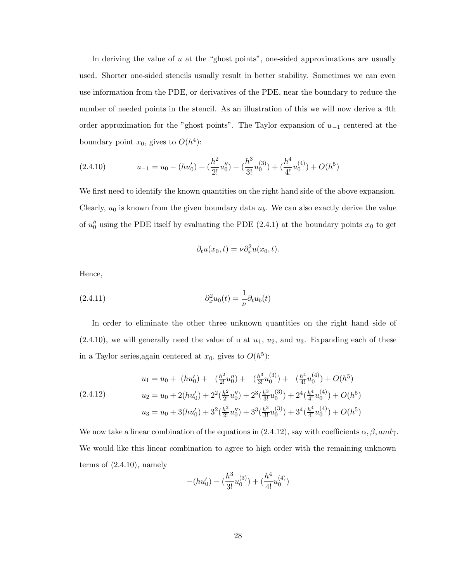In deriving the value of  $u$  at the "ghost points", one-sided approximations are usually used. Shorter one-sided stencils usually result in better stability. Sometimes we can even use information from the PDE, or derivatives of the PDE, near the boundary to reduce the number of needed points in the stencil. As an illustration of this we will now derive a 4th order approximation for the "ghost points". The Taylor expansion of  $u_{-1}$  centered at the boundary point  $x_0$ , gives to  $O(h^4)$ :

$$
(2.4.10) \t u_{-1} = u_0 - (hu'_0) + (\frac{h^2}{2!}u''_0) - (\frac{h^3}{3!}u_0^{(3)}) + (\frac{h^4}{4!}u_0^{(4)}) + O(h^5)
$$

We first need to identify the known quantities on the right hand side of the above expansion. Clearly,  $u_0$  is known from the given boundary data  $u_b$ . We can also exactly derive the value of  $u_0''$  using the PDE itself by evaluating the PDE (2.4.1) at the boundary points  $x_0$  to get

$$
\partial_t u(x_0, t) = \nu \partial_x^2 u(x_0, t).
$$

Hence,

(2.4.11) 
$$
\partial_x^2 u_0(t) = \frac{1}{\nu} \partial_t u_b(t)
$$

In order to eliminate the other three unknown quantities on the right hand side of  $(2.4.10)$ , we will generally need the value of u at  $u_1, u_2$ , and  $u_3$ . Expanding each of these in a Taylor series, again centered at  $x_0$ , gives to  $O(h^5)$ :

$$
u_1 = u_0 + (hu'_0) + \left(\frac{h^2}{2!}u''_0\right) + \left(\frac{h^3}{3!}u_0^{(3)}\right) + \left(\frac{h^4}{4!}u_0^{(4)}\right) + O(h^5)
$$
  
(2.4.12)  

$$
u_2 = u_0 + 2(hu'_0) + 2^2\left(\frac{h^2}{2!}u''_0\right) + 2^3\left(\frac{h^3}{3!}u_0^{(3)}\right) + 2^4\left(\frac{h^4}{4!}u_0^{(4)}\right) + O(h^5)
$$
  

$$
u_3 = u_0 + 3(hu'_0) + 3^2\left(\frac{h^2}{2!}u''_0\right) + 3^3\left(\frac{h^3}{3!}u_0^{(3)}\right) + 3^4\left(\frac{h^4}{4!}u_0^{(4)}\right) + O(h^5)
$$

We now take a linear combination of the equations in (2.4.12), say with coefficients  $\alpha, \beta, and \gamma$ . We would like this linear combination to agree to high order with the remaining unknown terms of (2.4.10), namely

$$
-(hu'_0) - (\frac{h^3}{3!}u_0^{(3)}) + (\frac{h^4}{4!}u_0^{(4)})
$$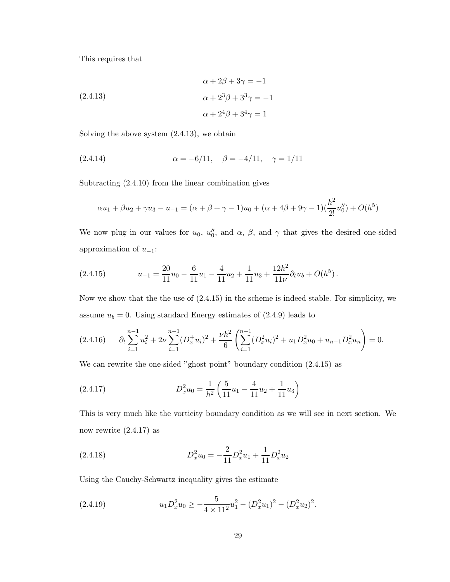This requires that

(2.4.13)  
\n
$$
\alpha + 2\beta + 3\gamma = -1
$$
\n
$$
\alpha + 2^3\beta + 3^3\gamma = -1
$$
\n
$$
\alpha + 2^4\beta + 3^4\gamma = 1
$$

Solving the above system  $(2.4.13)$ , we obtain

(2.4.14) 
$$
\alpha = -6/11, \quad \beta = -4/11, \quad \gamma = 1/11
$$

Subtracting (2.4.10) from the linear combination gives

$$
\alpha u_1 + \beta u_2 + \gamma u_3 - u_{-1} = (\alpha + \beta + \gamma - 1)u_0 + (\alpha + 4\beta + 9\gamma - 1)(\frac{h^2}{2!}u''_0) + O(h^5)
$$

We now plug in our values for  $u_0$ ,  $u_0''$  $\eta$ <sup>*n*</sup>, and  $\alpha$ , *β*, and  $\gamma$  that gives the desired one-sided approximation of  $u_{-1}$ :

(2.4.15) 
$$
u_{-1} = \frac{20}{11}u_0 - \frac{6}{11}u_1 - \frac{4}{11}u_2 + \frac{1}{11}u_3 + \frac{12h^2}{11\nu}\partial_t u_b + O(h^5).
$$

Now we show that the the use of (2.4.15) in the scheme is indeed stable. For simplicity, we assume  $u_b = 0$ . Using standard Energy estimates of  $(2.4.9)$  leads to

$$
(2.4.16) \qquad \partial_t \sum_{i=1}^{n-1} u_i^2 + 2\nu \sum_{i=1}^{n-1} (D_x^+ u_i)^2 + \frac{\nu h^2}{6} \left( \sum_{i=1}^{n-1} (D_x^2 u_i)^2 + u_1 D_x^2 u_0 + u_{n-1} D_x^2 u_n \right) = 0.
$$

We can rewrite the one-sided "ghost point" boundary condition (2.4.15) as

(2.4.17) 
$$
D_x^2 u_0 = \frac{1}{h^2} \left( \frac{5}{11} u_1 - \frac{4}{11} u_2 + \frac{1}{11} u_3 \right)
$$

This is very much like the vorticity boundary condition as we will see in next section. We now rewrite (2.4.17) as

(2.4.18) 
$$
D_x^2 u_0 = -\frac{2}{11} D_x^2 u_1 + \frac{1}{11} D_x^2 u_2
$$

Using the Cauchy-Schwartz inequality gives the estimate

(2.4.19) 
$$
u_1 D_x^2 u_0 \geq -\frac{5}{4 \times 11^2} u_1^2 - (D_x^2 u_1)^2 - (D_x^2 u_2)^2.
$$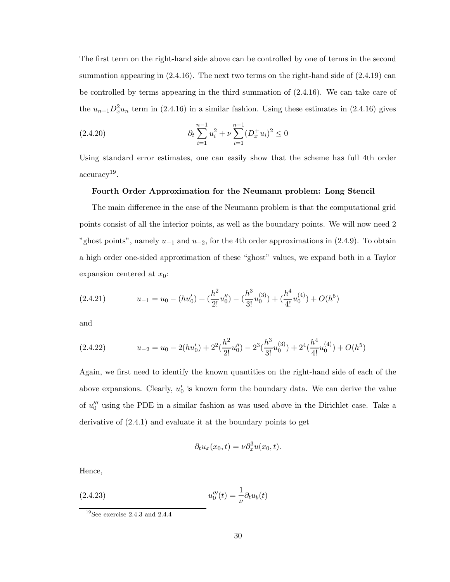The first term on the right-hand side above can be controlled by one of terms in the second summation appearing in  $(2.4.16)$ . The next two terms on the right-hand side of  $(2.4.19)$  can be controlled by terms appearing in the third summation of (2.4.16). We can take care of the  $u_{n-1}D_x^2u_n$  term in (2.4.16) in a similar fashion. Using these estimates in (2.4.16) gives

(2.4.20) 
$$
\partial_t \sum_{i=1}^{n-1} u_i^2 + \nu \sum_{i=1}^{n-1} (D_x^+ u_i)^2 \le 0
$$

Using standard error estimates, one can easily show that the scheme has full 4th order accuracy<sup>19</sup> .

## Fourth Order Approximation for the Neumann problem: Long Stencil

The main difference in the case of the Neumann problem is that the computational grid points consist of all the interior points, as well as the boundary points. We will now need 2 "ghost points", namely  $u_{-1}$  and  $u_{-2}$ , for the 4th order approximations in (2.4.9). To obtain a high order one-sided approximation of these "ghost" values, we expand both in a Taylor expansion centered at  $x_0$ :

$$
(2.4.21) \t u_{-1} = u_0 - (hu'_0) + (\frac{h^2}{2!}u''_0) - (\frac{h^3}{3!}u_0^{(3)}) + (\frac{h^4}{4!}u_0^{(4)}) + O(h^5)
$$

and

$$
(2.4.22) \t u_{-2} = u_0 - 2(hu'_0) + 2^2(\frac{h^2}{2!}u''_0) - 2^3(\frac{h^3}{3!}u_0^{(3)}) + 2^4(\frac{h^4}{4!}u_0^{(4)}) + O(h^5)
$$

Again, we first need to identify the known quantities on the right-hand side of each of the above expansions. Clearly,  $u_0$ <sup>'</sup>  $\eta'$  is known form the boundary data. We can derive the value of  $u_0^{\prime\prime\prime}$  using the PDE in a similar fashion as was used above in the Dirichlet case. Take a derivative of (2.4.1) and evaluate it at the boundary points to get

$$
\partial_t u_x(x_0, t) = \nu \partial_x^3 u(x_0, t).
$$

Hence,

(2.4.23) 
$$
u_0'''(t) = \frac{1}{\nu} \partial_t u_b(t)
$$

 $19$ See exercise 2.4.3 and 2.4.4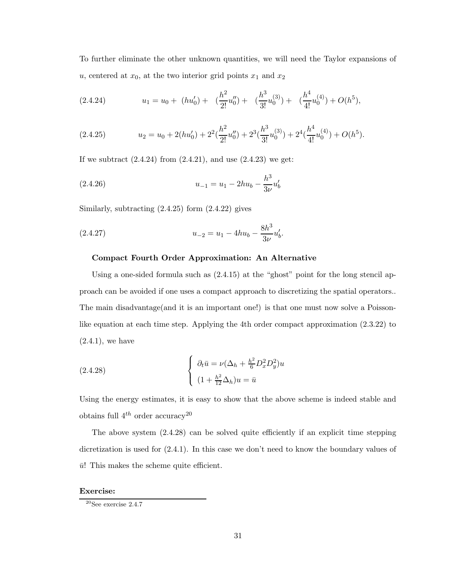To further eliminate the other unknown quantities, we will need the Taylor expansions of u, centered at  $x_0$ , at the two interior grid points  $x_1$  and  $x_2$ 

$$
(2.4.24) \t u1 = u0 + (hu'0) + (\frac{h2}{2!}u''0) + (\frac{h3}{3!}u0(3)) + (\frac{h4}{4!}u0(4)) + O(h5),
$$

$$
(2.4.25) \t u_2 = u_0 + 2(hu'_0) + 2^2(\frac{h^2}{2!}u''_0) + 2^3(\frac{h^3}{3!}u_0^{(3)}) + 2^4(\frac{h^4}{4!}u_0^{(4)}) + O(h^5).
$$

If we subtract  $(2.4.24)$  from  $(2.4.21)$ , and use  $(2.4.23)$  we get:

(2.4.26) 
$$
u_{-1} = u_1 - 2hu_b - \frac{h^3}{3\nu}u'_b
$$

Similarly, subtracting  $(2.4.25)$  form  $(2.4.22)$  gives

(2.4.27) 
$$
u_{-2} = u_1 - 4hu_b - \frac{8h^3}{3\nu}u'_b.
$$

# Compact Fourth Order Approximation: An Alternative

Using a one-sided formula such as (2.4.15) at the "ghost" point for the long stencil approach can be avoided if one uses a compact approach to discretizing the spatial operators.. The main disadvantage(and it is an important one!) is that one must now solve a Poissonlike equation at each time step. Applying the 4th order compact approximation (2.3.22) to  $(2.4.1)$ , we have

(2.4.28) 
$$
\begin{cases} \partial_t \bar{u} = \nu (\Delta_h + \frac{h^2}{6} D_x^2 D_y^2) u \\ (1 + \frac{h^2}{12} \Delta_h) u = \bar{u} \end{cases}
$$

Using the energy estimates, it is easy to show that the above scheme is indeed stable and obtains full  $4^{th}$  order accuracy<sup>20</sup>

The above system (2.4.28) can be solved quite efficiently if an explicit time stepping dicretization is used for (2.4.1). In this case we don't need to know the boundary values of  $\bar{u}$ ! This makes the scheme quite efficient.

## Exercise:

 $20$ See exercise 2.4.7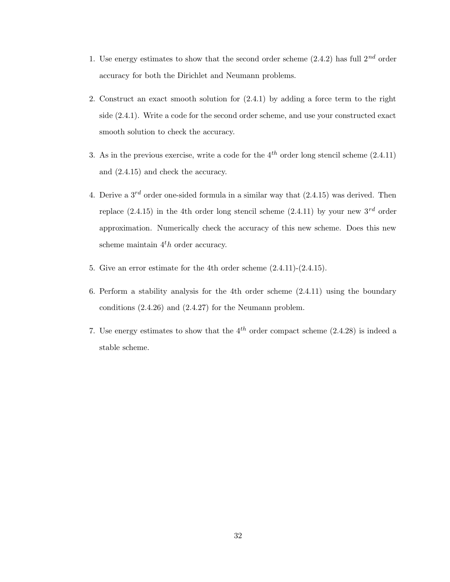- 1. Use energy estimates to show that the second order scheme  $(2.4.2)$  has full  $2^{nd}$  order accuracy for both the Dirichlet and Neumann problems.
- 2. Construct an exact smooth solution for (2.4.1) by adding a force term to the right side (2.4.1). Write a code for the second order scheme, and use your constructed exact smooth solution to check the accuracy.
- 3. As in the previous exercise, write a code for the  $4^{th}$  order long stencil scheme  $(2.4.11)$ and (2.4.15) and check the accuracy.
- 4. Derive a  $3^{rd}$  order one-sided formula in a similar way that  $(2.4.15)$  was derived. Then replace  $(2.4.15)$  in the 4th order long stencil scheme  $(2.4.11)$  by your new  $3^{rd}$  order approximation. Numerically check the accuracy of this new scheme. Does this new scheme maintain  $4<sup>t</sup>h$  order accuracy.
- 5. Give an error estimate for the 4th order scheme (2.4.11)-(2.4.15).
- 6. Perform a stability analysis for the 4th order scheme (2.4.11) using the boundary conditions (2.4.26) and (2.4.27) for the Neumann problem.
- 7. Use energy estimates to show that the  $4^{th}$  order compact scheme (2.4.28) is indeed a stable scheme.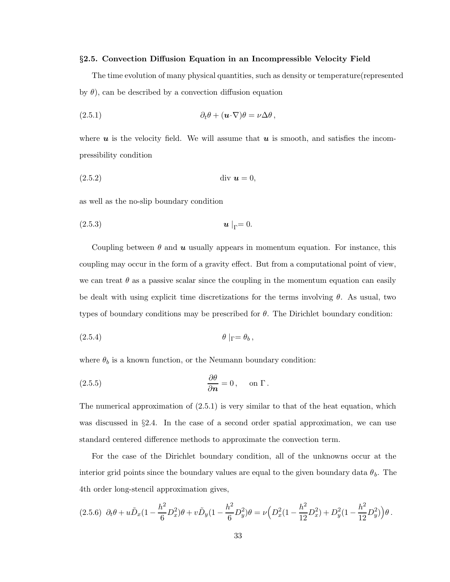#### §2.5. Convection Diffusion Equation in an Incompressible Velocity Field

The time evolution of many physical quantities, such as density or temperature(represented by  $\theta$ ), can be described by a convection diffusion equation

(2.5.1) 
$$
\partial_t \theta + (\mathbf{u} \cdot \nabla)\theta = \nu \Delta \theta,
$$

where  $u$  is the velocity field. We will assume that  $u$  is smooth, and satisfies the incompressibility condition

(2.5.2) div u = 0,

as well as the no-slip boundary condition

(2.5.3) <sup>u</sup> <sup>|</sup>Γ<sup>=</sup> <sup>0</sup>.

Coupling between  $\theta$  and  $\boldsymbol{u}$  usually appears in momentum equation. For instance, this coupling may occur in the form of a gravity effect. But from a computational point of view, we can treat  $\theta$  as a passive scalar since the coupling in the momentum equation can easily be dealt with using explicit time discretizations for the terms involving  $\theta$ . As usual, two types of boundary conditions may be prescribed for  $\theta$ . The Dirichlet boundary condition:

$$
\theta |_{\Gamma} = \theta_b ,
$$

where  $\theta_b$  is a known function, or the Neumann boundary condition:

(2.5.5) 
$$
\frac{\partial \theta}{\partial n} = 0, \text{ on } \Gamma.
$$

The numerical approximation of  $(2.5.1)$  is very similar to that of the heat equation, which was discussed in §2.4. In the case of a second order spatial approximation, we can use standard centered difference methods to approximate the convection term.

For the case of the Dirichlet boundary condition, all of the unknowns occur at the interior grid points since the boundary values are equal to the given boundary data  $\theta_b$ . The 4th order long-stencil approximation gives,

$$
(2.5.6) \ \partial_t \theta + u \tilde{D}_x (1 - \frac{h^2}{6} D_x^2) \theta + v \tilde{D}_y (1 - \frac{h^2}{6} D_y^2) \theta = \nu \left( D_x^2 (1 - \frac{h^2}{12} D_x^2) + D_y^2 (1 - \frac{h^2}{12} D_y^2) \right) \theta \,.
$$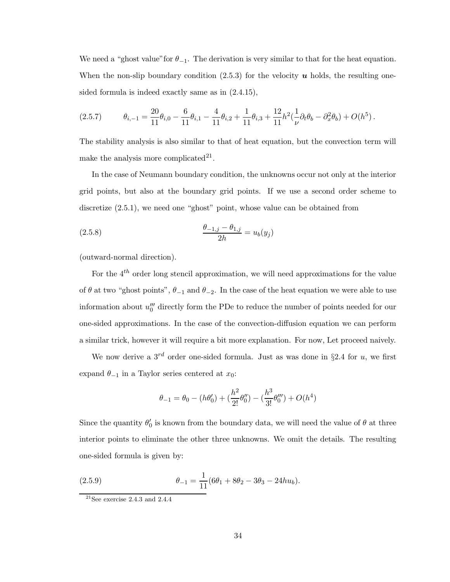We need a "ghost value" for  $\theta_{-1}$ . The derivation is very similar to that for the heat equation. When the non-slip boundary condition  $(2.5.3)$  for the velocity  $\boldsymbol{u}$  holds, the resulting onesided formula is indeed exactly same as in (2.4.15),

$$
(2.5.7) \t\t\t\t\theta_{i,-1} = \frac{20}{11}\theta_{i,0} - \frac{6}{11}\theta_{i,1} - \frac{4}{11}\theta_{i,2} + \frac{1}{11}\theta_{i,3} + \frac{12}{11}h^2(\frac{1}{\nu}\partial_t\theta_b - \partial_x^2\theta_b) + O(h^5).
$$

The stability analysis is also similar to that of heat equation, but the convection term will make the analysis more complicated<sup>21</sup>.

In the case of Neumann boundary condition, the unknowns occur not only at the interior grid points, but also at the boundary grid points. If we use a second order scheme to discretize (2.5.1), we need one "ghost" point, whose value can be obtained from

(2.5.8) 
$$
\frac{\theta_{-1,j} - \theta_{1,j}}{2h} = u_b(y_j)
$$

(outward-normal direction).

For the  $4^{th}$  order long stencil approximation, we will need approximations for the value of  $\theta$  at two "ghost points",  $\theta_{-1}$  and  $\theta_{-2}$ . In the case of the heat equation we were able to use information about  $u_0^{\prime\prime\prime}$  directly form the PDe to reduce the number of points needed for our one-sided approximations. In the case of the convection-diffusion equation we can perform a similar trick, however it will require a bit more explanation. For now, Let proceed naively.

We now derive a  $3^{rd}$  order one-sided formula. Just as was done in §2.4 for u, we first expand  $\theta_{-1}$  in a Taylor series centered at  $x_0$ :

$$
\theta_{-1} = \theta_0 - (h\theta'_0) + (\frac{h^2}{2!}\theta''_0) - (\frac{h^3}{3!}\theta'''_0) + O(h^4)
$$

Since the quantity  $\theta_0$  $\delta_0$  is known from the boundary data, we will need the value of  $\theta$  at three interior points to eliminate the other three unknowns. We omit the details. The resulting one-sided formula is given by:

(2.5.9) 
$$
\theta_{-1} = \frac{1}{11}(6\theta_1 + 8\theta_2 - 3\theta_3 - 24hu_b).
$$

 $21$ See exercise 2.4.3 and 2.4.4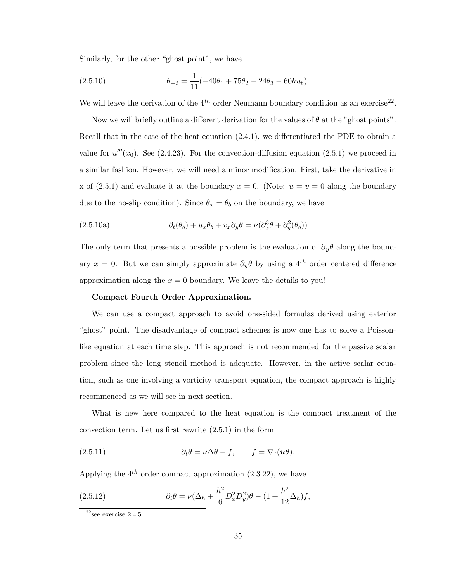Similarly, for the other "ghost point", we have

(2.5.10) 
$$
\theta_{-2} = \frac{1}{11}(-40\theta_1 + 75\theta_2 - 24\theta_3 - 60hu_b).
$$

We will leave the derivation of the  $4^{th}$  order Neumann boundary condition as an exercise<sup>22</sup>.

Now we will briefly outline a different derivation for the values of  $\theta$  at the "ghost points". Recall that in the case of the heat equation (2.4.1), we differentiated the PDE to obtain a value for  $u'''(x_0)$ . See (2.4.23). For the convection-diffusion equation (2.5.1) we proceed in a similar fashion. However, we will need a minor modification. First, take the derivative in x of  $(2.5.1)$  and evaluate it at the boundary  $x = 0$ . (Note:  $u = v = 0$  along the boundary due to the no-slip condition). Since  $\theta_x = \theta_b$  on the boundary, we have

(2.5.10a) 
$$
\partial_t(\theta_b) + u_x \theta_b + v_x \partial_y \theta = \nu (\partial_x^3 \theta + \partial_y^2 (\theta_b))
$$

The only term that presents a possible problem is the evaluation of  $\partial_{\theta}\theta$  along the boundary  $x = 0$ . But we can simply approximate  $\partial_y \theta$  by using a 4<sup>th</sup> order centered difference approximation along the  $x = 0$  boundary. We leave the details to you!

## Compact Fourth Order Approximation.

We can use a compact approach to avoid one-sided formulas derived using exterior "ghost" point. The disadvantage of compact schemes is now one has to solve a Poissonlike equation at each time step. This approach is not recommended for the passive scalar problem since the long stencil method is adequate. However, in the active scalar equation, such as one involving a vorticity transport equation, the compact approach is highly recommenced as we will see in next section.

What is new here compared to the heat equation is the compact treatment of the convection term. Let us first rewrite (2.5.1) in the form

(2.5.11) 
$$
\partial_t \theta = \nu \Delta \theta - f, \qquad f = \nabla \cdot (\boldsymbol{u} \theta).
$$

Applying the  $4^{th}$  order compact approximation  $(2.3.22)$ , we have

(2.5.12) 
$$
\partial_t \bar{\theta} = \nu (\Delta_h + \frac{h^2}{6} D_x^2 D_y^2) \theta - (1 + \frac{h^2}{12} \Delta_h) f,
$$

 $22$ see exercise 2.4.5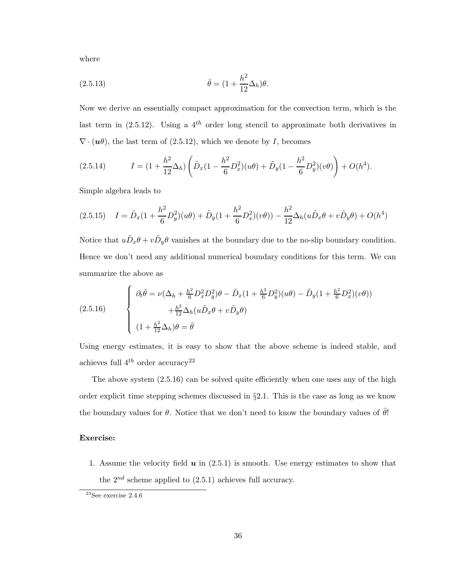where

(2.5.13) 
$$
\bar{\theta} = (1 + \frac{h^2}{12} \Delta_h) \theta.
$$

Now we derive an essentially compact approximation for the convection term, which is the last term in  $(2.5.12)$ . Using a  $4^{th}$  order long stencil to approximate both derivatives in  $\nabla \cdot (\mathbf{u}\theta)$ , the last term of (2.5.12), which we denote by *I*, becomes

$$
(2.5.14) \tI = (1 + \frac{h^2}{12} \Delta_h) \left( \tilde{D}_x (1 - \frac{h^2}{6} D_x^2) (u\theta) + \tilde{D}_y (1 - \frac{h^2}{6} D_y^2) (v\theta) \right) + O(h^4).
$$

Simple algebra leads to

$$
(2.5.15) \quad I = \tilde{D}_x(1 + \frac{h^2}{6}D_y^2)(u\theta) + \tilde{D}_y(1 + \frac{h^2}{6}D_x^2)(v\theta)) - \frac{h^2}{12}\Delta_h(u\tilde{D}_x\theta + v\tilde{D}_y\theta) + O(h^4)
$$

Notice that  $u\tilde{D}_x\theta + v\tilde{D}_y\theta$  vanishes at the boundary due to the no-slip boundary condition. Hence we don't need any additional numerical boundary conditions for this term. We can summarize the above as

(2.5.16) 
$$
\begin{cases} \partial_t \bar{\theta} = \nu (\Delta_h + \frac{h^2}{6} D_x^2 D_y^2) \theta - \tilde{D}_x (1 + \frac{h^2}{6} D_y^2) (u\theta) - \tilde{D}_y (1 + \frac{h^2}{6} D_x^2) (v\theta)) \\ + \frac{h^2}{12} \Delta_h (u \tilde{D}_x \theta + v \tilde{D}_y \theta) \\ (1 + \frac{h^2}{12} \Delta_h) \theta = \bar{\theta} \end{cases}
$$

Using energy estimates, it is easy to show that the above scheme is indeed stable, and achieves full  $4^{th}$  order accuracy<sup>23</sup>

The above system  $(2.5.16)$  can be solved quite efficiently when one uses any of the high order explicit time stepping schemes discussed in §2.1. This is the case as long as we know the boundary values for  $\theta$ . Notice that we don't need to know the boundary values of  $\bar{\theta}$ !

# Exercise:

1. Assume the velocity field  $\boldsymbol{u}$  in (2.5.1) is smooth. Use energy estimates to show that the  $2^{nd}$  scheme applied to  $(2.5.1)$  achieves full accuracy.

 $23$ See exercise 2.4.6